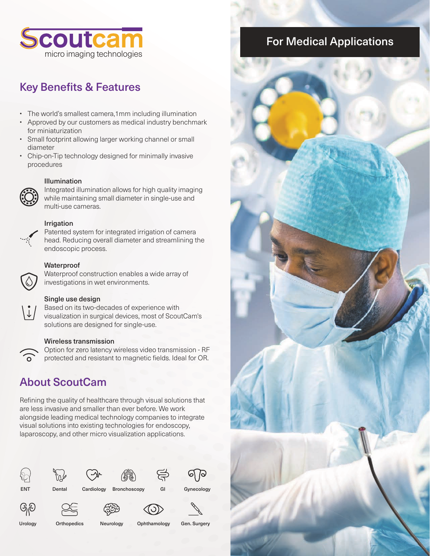

# **Key Benefits & Features**

- The world's smallest camera,1mm including illumination
- Approved by our customers as medical industry benchmark for miniaturization
- Small footprint allowing larger working channel or small diameter
- Chip-on-Tip technology designed for minimally invasive procedures

#### Illumination



Integrated illumination allows for high quality imaging while maintaining small diameter in single-use and multi-use cameras.

#### Irrigation



Patented system for integrated irrigation of camera head. Reducing overall diameter and streamlining the endoscopic process.

### **Waterproof**



 $\widehat{\delta}$ 

Waterproof construction enables a wide array of investigations in wet environments.

#### Single use design

Based on its two-decades of experience with visualization in surgical devices, most of ScoutCam's solutions are designed for single-use.

#### Wireless transmission

Option for zero latency wireless video transmission - RF protected and resistant to magnetic fields. Ideal for OR.

# About ScoutCam

Refining the quality of healthcare through visual solutions that are less invasive and smaller than ever before. We work alongside leading medical technology companies to integrate visual solutions into existing technologies for endoscopy, laparoscopy, and other micro visualization applications.







ENT Dental Cardiology Bronchoscopy GI Gynecology







ශුල

Urology Orthopedics Neurology Ophthamology Gen. Surgery

# For Medical Applications